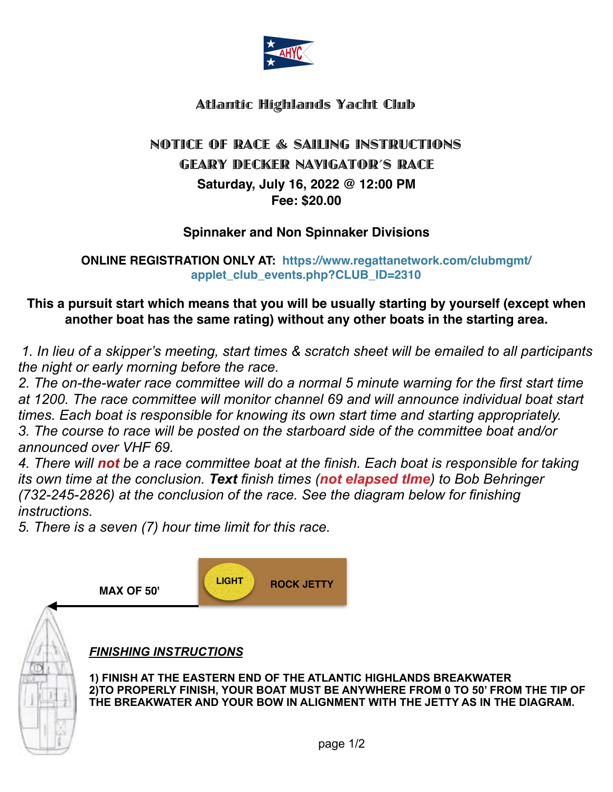

# Atlantic Highlands Yacht Club

# NOTICE OF RACE & SAILING INSTRUCTIONS GEARY DECKER NAVIGATOR'S RACE **Saturday, July 16, 2022 @ 12:00 PM Fee: \$20.00**

#### **Spinnaker and Non Spinnaker Divisions**

**ONLINE REGISTR[ATION ONLY AT: https://www.regattanetwork.com/clubmgmt/](https://www.regattanetwork.com/clubmgmt/applet_club_events.php?CLUB_ID=2310) [applet\\_club\\_events.php?CLUB\\_ID=2310](https://www.regattanetwork.com/clubmgmt/applet_club_events.php?CLUB_ID=2310)** 

## **This a pursuit start which means that you will be usually starting by yourself (except when another boat has the same rating) without any other boats in the starting area.**

*1. In lieu of a skipper's meeting, start times & scratch sheet will be emailed to all participants the night or early morning before the race.* 

*2. The on-the-water race committee will do a normal 5 minute warning for the first start time at 1200. The race committee will monitor channel 69 and will announce individual boat start times. Each boat is responsible for knowing its own start time and starting appropriately. 3. The course to race will be posted on the starboard side of the committee boat and/or announced over VHF 69.*

*4. There will not be a race committee boat at the finish. Each boat is responsible for taking its own time at the conclusion. Text finish times (not elapsed tIme) to Bob Behringer (732-245-2826) at the conclusion of the race. See the diagram below for finishing instructions.* 

*5. There is a seven (7) hour time limit for this race.*



#### *FINISHING INSTRUCTIONS*

**1) FINISH AT THE EASTERN END OF THE ATLANTIC HIGHLANDS BREAKWATER 2)TO PROPERLY FINISH, YOUR BOAT MUST BE ANYWHERE FROM 0 TO 50' FROM THE TIP OF THE BREAKWATER AND YOUR BOW IN ALIGNMENT WITH THE JETTY AS IN THE DIAGRAM.**